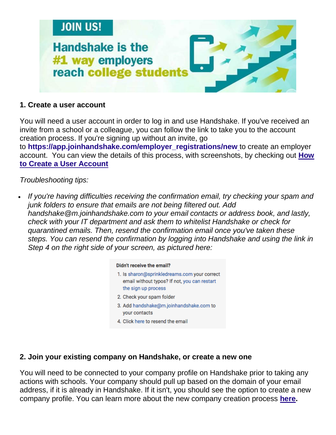

# **1. Create a user account**

You will need a user account in order to log in and use Handshake. If you've received an invite from a school or a colleague, you can follow the link to take you to the account creation process. If you're signing up without an invite, go to **[https://app.joinhandshake.com/employer\\_registrations/new](https://app.joinhandshake.com/employer_registrations/new)** to create an employer account. You can view the details of this process, with screenshots, by checking out **[How](https://support.joinhandshake.com/hc/en-us/articles/219133047-How-do-I-create-a-user-account-and-join-an-existing-company-)  [to Create a User Account](https://support.joinhandshake.com/hc/en-us/articles/219133047-How-do-I-create-a-user-account-and-join-an-existing-company-)**

# *Troubleshooting tips:*

• *If you're having difficulties receiving the confirmation email, try checking your spam and junk folders to ensure that emails are not being filtered out. Add handshake@m.joinhandshake.com to your email contacts or address book, and lastly, check with your IT department and ask them to whitelist Handshake or check for quarantined emails. Then, resend the confirmation email once you've taken these steps. You can resend the confirmation by logging into Handshake and using the link in Step 4 on the right side of your screen, as pictured here:*

### Didn't receive the email?

- 1. Is sharon@sprinkledreams.com your correct email without typos? If not, you can restart the sign up process
- 2. Check your spam folder
- 3. Add handshake@m.joinhandshake.com to your contacts
- 4. Click here to resend the email

### **2. Join your existing company on Handshake, or create a new one**

You will need to be connected to your company profile on Handshake prior to taking any actions with schools. Your company should pull up based on the domain of your email address, if it is already in Handshake. If it isn't, you should see the option to create a new company profile. You can learn more about the new company creation process **[here.](https://support.joinhandshake.com/hc/en-us/articles/219133057-How-do-I-create-a-company-profile-)**